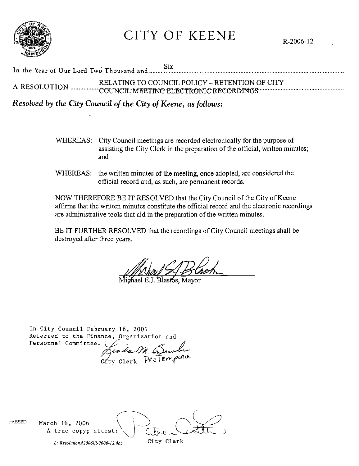

**CITY OF KEENE** 

**Six** In the Year of Our Lord Two Thousand and ....... RELATING TO COUNCIL POLICY - RETENTION OF CITY 

Resolved by the City Council of the City of Keene, as follows:

- WHEREAS: City Council meetings are recorded electronically for the purpose of assisting the City Clerk in the preparation of the official, written minutes; and
- WHEREAS: the written minutes of the meeting, once adopted, are considered the official record and, as such, are permanent records.

NOW THEREFORE BE IT RESOLVED that the City Council of the City of Keene affirms that the written minutes constitute the official record and the electronic recordings are administrative tools that aid in the preparation of the written minutes.

BE IT FURTHER RESOLVED that the recordings of City Council meetings shall be destroyed after three years.

In City Council February 16, 2006 Referred to the Finance, Organization and Personnel Committee.

Jenda M. Soulu

rASSED March 16, 2006 A true copy; attest: City Clerk

L:\Resolutions\2006\R-2006-12.doc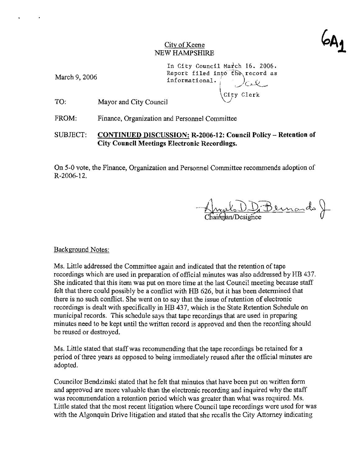$\varphi$ A

#### City of Keene NEW HAMPSHIRE

March 9,2006

In City Council Match 16. 2006. Report filed into the record as informational.

TO: Mayor and City Council  $\qquad \qquad \begin{array}{c} \text{City } \text{Clerk} \end{array}$ 

FROM: Finance, Organization and Personnel Committee

#### SUBJECT: **CONTINUED DISCUSSION: R-2006-12: Council Policy - Retention of City Council Meetings Electronic Recordings.**

On 5-0 vote, the Finance, Organization and Personnel Committee recommends adoption of R-2006-12.

nul DD Bernards J

#### Background Notes:

Ms. Little addressed the Committee again and indicated that the retention of tape recordings which are used in preparation of official minutes was also addressed by HB 437. She indicated that this item was put on more time at the last Council meeting because staff felt that there could possibly be a conflict with HB 626, but it has been determined that there is no such conflict. She went on to say that the issue of retention of electronic recordings is dealt with specifically in HB 437, which is the State Retention Schedule on municipal records. This schedule says that tape recordings that are used in preparing minutes need to be kept until the written record is approved and then the recording should be reused or destroyed.

Ms. Little stated that staff was recommending that the tape recordings be retained for a period of three years as opposed to being immediately reused after the official minutes are adopted.

Councilor Bendzinski stated that he felt that minutes that have been put on written form and approved are more valuable than the electronic recording and inquired why the staff was recommendation a retention period which was greater than what was required. Ms. Little stated that the most recent litigation where Council tape recordings were used for was with the Algonquin Drive litigation and stated that she recalls the City Attorney indicating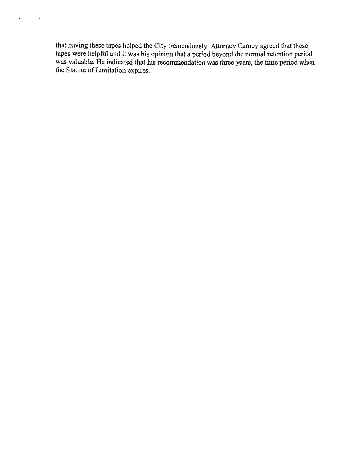that having these tapes helped the City tremendously. Attorney Carney agreed that these tapes were helpful and it was his opinion that a period beyond the nonnal retention period was valuable. He indicated that his recommendation was three years, the time period when the Statute of Limitation expires.

 $\epsilon$ 

 $\rightarrow$ 

 $\hat{\phantom{a}}$